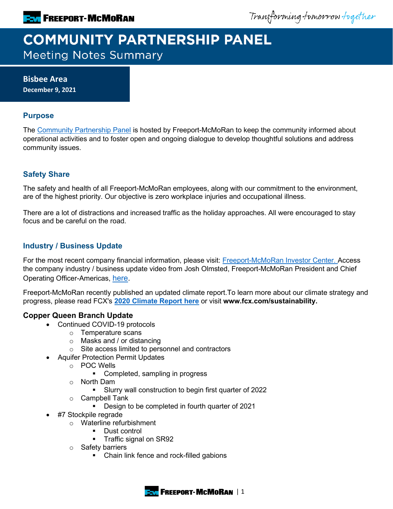Transforming tomorrow together

# **COMMUNITY PARTNERSHIP PANEL Meeting Notes Summary**

**Bisbee Area December 9, 2021**

### **Purpose**

The [Community Partnership Panel](https://www.freeportinmycommunity.com/stakeholders/stakeholder-engagement-) is hosted by Freeport-McMoRan to keep the community informed about operational activities and to foster open and ongoing dialogue to develop thoughtful solutions and address community issues.

## **Safety Share**

The safety and health of all Freeport-McMoRan employees, along with our commitment to the environment, are of the highest priority. Our objective is zero workplace injuries and occupational illness.

There are a lot of distractions and increased traffic as the holiday approaches. All were encouraged to stay focus and be careful on the road.

# **Industry / Business Update**

For the most recent company financial information, please visit: **Freeport-McMoRan Investor Center.** Access the company industry / business update video from Josh Olmsted, Freeport-McMoRan President and Chief Operating Officer-Americas, [here.](https://youtu.be/cCXXaE3grIo)

Freeport-McMoRan recently published an updated climate report.To learn more about our climate strategy and progress, please read FCX's **[2020 Climate Report here](https://www.fcx.com/sites/fcx/files/documents/sustainability/2020-Climate-Report.pdf)** or visit **www.fcx.com/sustainability.**

## **Copper Queen Branch Update**

- Continued COVID-19 protocols
	- o Temperature scans
	- o Masks and / or distancing
	- o Site access limited to personnel and contractors
	- Aquifer Protection Permit Updates
		- o POC Wells
			- Completed, sampling in progress
		- o North Dam
			- Slurry wall construction to begin first quarter of 2022
		- o Campbell Tank<br>Design t
			- Design to be completed in fourth quarter of 2021
- #7 Stockpile regrade
	- o Waterline refurbishment
		- Dust control
		- **Traffic signal on SR92**
	- o Safety barriers
		- Chain link fence and rock-filled gabions